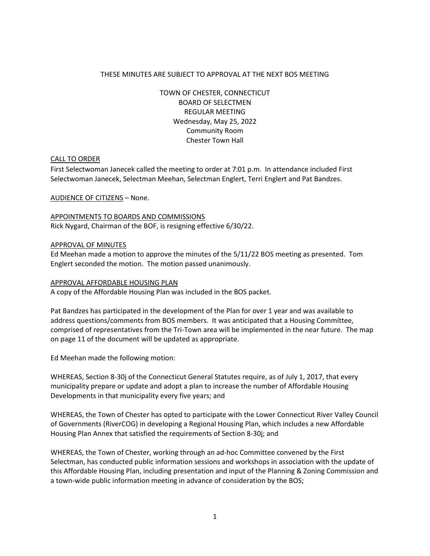### THESE MINUTES ARE SUBJECT TO APPROVAL AT THE NEXT BOS MEETING

TOWN OF CHESTER, CONNECTICUT BOARD OF SELECTMEN REGULAR MEETING Wednesday, May 25, 2022 Community Room Chester Town Hall

### CALL TO ORDER

First Selectwoman Janecek called the meeting to order at 7:01 p.m. In attendance included First Selectwoman Janecek, Selectman Meehan, Selectman Englert, Terri Englert and Pat Bandzes.

AUDIENCE OF CITIZENS – None.

APPOINTMENTS TO BOARDS AND COMMISSIONS Rick Nygard, Chairman of the BOF, is resigning effective 6/30/22.

### APPROVAL OF MINUTES

Ed Meehan made a motion to approve the minutes of the 5/11/22 BOS meeting as presented. Tom Englert seconded the motion. The motion passed unanimously.

### APPROVAL AFFORDABLE HOUSING PLAN

A copy of the Affordable Housing Plan was included in the BOS packet.

Pat Bandzes has participated in the development of the Plan for over 1 year and was available to address questions/comments from BOS members. It was anticipated that a Housing Committee, comprised of representatives from the Tri-Town area will be implemented in the near future. The map on page 11 of the document will be updated as appropriate.

Ed Meehan made the following motion:

WHEREAS, Section 8-30j of the Connecticut General Statutes require, as of July 1, 2017, that every municipality prepare or update and adopt a plan to increase the number of Affordable Housing Developments in that municipality every five years; and

WHEREAS, the Town of Chester has opted to participate with the Lower Connecticut River Valley Council of Governments (RiverCOG) in developing a Regional Housing Plan, which includes a new Affordable Housing Plan Annex that satisfied the requirements of Section 8-30j; and

WHEREAS, the Town of Chester, working through an ad-hoc Committee convened by the First Selectman, has conducted public information sessions and workshops in association with the update of this Affordable Housing Plan, including presentation and input of the Planning & Zoning Commission and a town-wide public information meeting in advance of consideration by the BOS;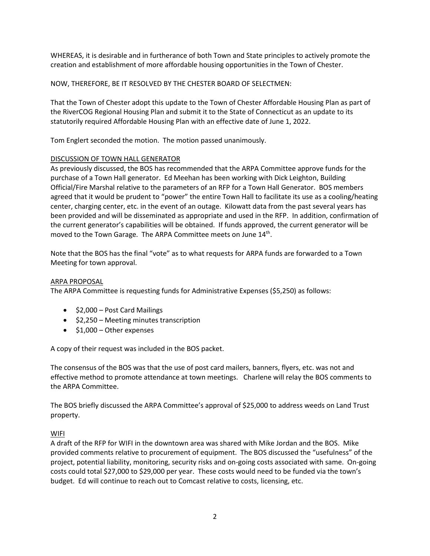WHEREAS, it is desirable and in furtherance of both Town and State principles to actively promote the creation and establishment of more affordable housing opportunities in the Town of Chester.

# NOW, THEREFORE, BE IT RESOLVED BY THE CHESTER BOARD OF SELECTMEN:

That the Town of Chester adopt this update to the Town of Chester Affordable Housing Plan as part of the RiverCOG Regional Housing Plan and submit it to the State of Connecticut as an update to its statutorily required Affordable Housing Plan with an effective date of June 1, 2022.

Tom Englert seconded the motion. The motion passed unanimously.

# DISCUSSION OF TOWN HALL GENERATOR

As previously discussed, the BOS has recommended that the ARPA Committee approve funds for the purchase of a Town Hall generator. Ed Meehan has been working with Dick Leighton, Building Official/Fire Marshal relative to the parameters of an RFP for a Town Hall Generator. BOS members agreed that it would be prudent to "power" the entire Town Hall to facilitate its use as a cooling/heating center, charging center, etc. in the event of an outage. Kilowatt data from the past several years has been provided and will be disseminated as appropriate and used in the RFP. In addition, confirmation of the current generator's capabilities will be obtained. If funds approved, the current generator will be moved to the Town Garage. The ARPA Committee meets on June 14<sup>th</sup>.

Note that the BOS has the final "vote" as to what requests for ARPA funds are forwarded to a Town Meeting for town approval.

### ARPA PROPOSAL

The ARPA Committee is requesting funds for Administrative Expenses (\$5,250) as follows:

- \$2,000 Post Card Mailings
- \$2,250 Meeting minutes transcription
- \$1,000 Other expenses

A copy of their request was included in the BOS packet.

The consensus of the BOS was that the use of post card mailers, banners, flyers, etc. was not and effective method to promote attendance at town meetings. Charlene will relay the BOS comments to the ARPA Committee.

The BOS briefly discussed the ARPA Committee's approval of \$25,000 to address weeds on Land Trust property.

# **WIFI**

A draft of the RFP for WIFI in the downtown area was shared with Mike Jordan and the BOS. Mike provided comments relative to procurement of equipment. The BOS discussed the "usefulness" of the project, potential liability, monitoring, security risks and on-going costs associated with same. On-going costs could total \$27,000 to \$29,000 per year. These costs would need to be funded via the town's budget. Ed will continue to reach out to Comcast relative to costs, licensing, etc.